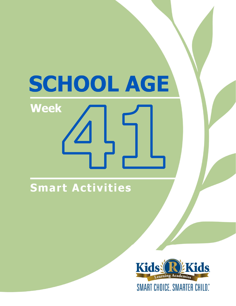# **SCHOOL AGE Week**

### **Smart Activities**

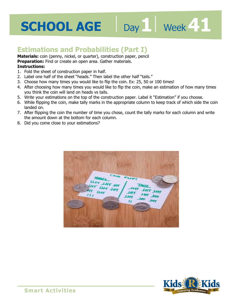## **SCHOOL AGE** Day Neek 41

### **Estimations and Probabilities (Part I)**

**Materials:** coin (penny, nickel, or quarter), construction paper, pencil

**Preparation:** Find or create an open area. Gather materials.

#### **Instructions:**

- 1. Fold the sheet of construction paper in half.
- **ails."**<br>ails." 2. Label one half of the sheet "heads." Then label the other half "tails."
- 3. Choose how many times you would like to flip the coin. Ex: 25, 50 or 100 times!
- 4. After choosing how many times you would like to flip the coin, make an estimation of how many times you think the coin will land on heads vs tails.
- 5. Write your estimations on the top of the construction paper. Label it "Estimation" if you choose.
- 6. While flipping the coin, make tally marks in the appropriate column to keep track of which side the coin landed on.
- 7. After flipping the coin the number of time you chose, count the tally marks for each column and write the amount down at the bottom for each column.
- 8. Did you come close to your estimations?





**Smart Activities**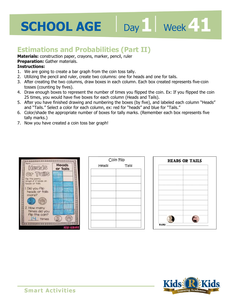## **SCHOOL AGE**

## Day 1 **Week 41**

### **Estimations and Probabilities (Part II)**

**Materials:** construction paper, crayons, marker, pencil, ruler

**Preparation:** Gather materials.

- 1. We are going to create a bar graph from the coin toss tally.
- **Freparation:** Gather materials.<br>**Instructions:**<br>1. We are going to create a bar graph from the coin toss tally.<br>2. Utilizing the pencil and ruler, create two columns: one for heads and one for tails.
- 3. After creating the two columns, draw boxes in each column. Each box created represents five-coin tosses (counting by fives).
- 4. Draw enough boxes to represent the number of times you flipped the coin. Ex: If you flipped the coin 25 times, you would have five boxes for each column (Heads and Tails).
- 5. After you have finished drawing and numbering the boxes (by five), and labeled each column "Heads" and "Tails." Select a color for each column, ex: red for "heads" and blue for "Tails."
- 6. Color/shade the appropriate number of boxes for tally marks. (Remember each box represents five tally marks.)
- 7. Now you have created a coin toss bar graph!



| Coin Flip |       |
|-----------|-------|
| Heads     | Tails |
|           |       |
|           |       |
|           |       |
|           |       |
|           |       |
|           |       |
|           |       |
|           |       |
|           |       |
|           |       |
|           |       |



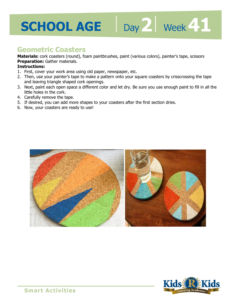## **2 41**

### **Geometric Coasters**

**Materials:** cork coasters (round), foam paintbrushes, paint (various colors), painter's tape, scissors **Preparation:** Gather materials.

- 1. First, cover your work area using old paper, newspaper, etc.
- **Freparation:** Gatrier materials.<br>**Instructions:**<br>1. First, cover your work area using old paper, newspaper, etc.<br>2. Then, use your painter's tape to make a pattern onto your square coasters by crisscrossing the tape and leaving triangle shaped cork openings.
- 3. Next, paint each open space a different color and let dry. Be sure you use enough paint to fill in all the little holes in the cork.
- 4. Carefully remove the tape.
- 5. If desired, you can add more shapes to your coasters after the first section dries.
- 6. Now, your coasters are ready to use!



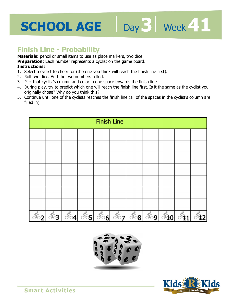## **SCHOOL AGE** Day 3 | Week 41

### **Finish Line - Probability**

**Materials:** pencil or small items to use as place markers, two dice

**Preparation:** Each number represents a cyclist on the game board.

- **1 4**  1. Select a cyclist to cheer for (the one you think will reach the finish line first).
- 2. Roll two dice. Add the two numbers rolled.
- 3. Pick that cyclist's column and color in one space towards the finish line.
- 4. During play, try to predict which one will reach the finish line first. Is it the same as the cyclist you originally chose? Why do you think this?
- 5. Continue until one of the cyclists reaches the finish line (all of the spaces in the cyclist's column are filled in).





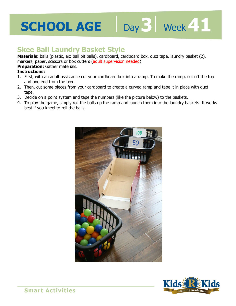## **SCHOOL AGE**

### **Skee Ball Laundry Basket Style**

Materials: balls (plastic, ex: ball pit balls), cardboard, cardboard box, duct tape, laundry basket (2), markers, paper, scissors or box cutters (adult supervision needed)

Day 3 | Week 41

#### **Preparation: Gather materials.**

- 11 ancers, paper, sussors or box cutters (adult supervision needed)<br>**Preparation:** Gather materials.<br>**Instructions:**<br>1. First, with an adult assistance cut your cardboard box into a ramp. To make the ramp, cut off the top and one end from the box.
- 2. Then, cut some pieces from your cardboard to create a curved ramp and tape it in place with duct tape.
- 3. Decide on a point system and tape the numbers (like the picture below) to the baskets.
- 4. To play the game, simply roll the balls up the ramp and launch them into the laundry baskets. It works best if you kneel to roll the balls.



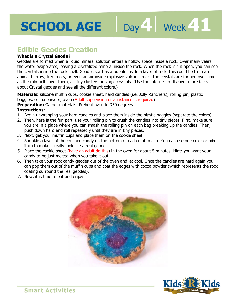## **SCHOOL AGE**

Day 4 | Week 41

### **Edible Geodes Creation**

#### **What is a Crystal Geode?**

pace inside a TOCK. Over many ye<br>When the rock is cut open, you c<br>layer of rock, this could be from a<br>ock. The crystals are formed over Geodes are formed when a liquid mineral solution enters a hollow space inside a rock. Over many years the water evaporates, leaving a crystalized mineral inside the rock. When the rock is cut open, you can see the crystals inside the rock shell. Geodes start as a bubble inside a layer of rock, this could be from an animal burrow, tree roots, or even an air inside explosive volcanic rock. The crystals are formed over time, as the rain pelts over them, as tiny clusters or single crystals. (Use the internet to discover more facts about Crystal geodes and see all the different colors.)

**Materials:** silicone muffin cups, cookie sheet, hard candies (i.e. Jolly Ranchers), rolling pin, plastic baggies, cocoa powder, oven (Adult supervision or assistance is required)

**Preparation:** Gather materials. Preheat oven to 350 degrees.

- 1. Begin unwrapping your hard candies and place them inside the plastic baggies (separate the colors).
- 2. Then, here is the fun part, use your rolling pin to crush the candies into tiny pieces. First, make sure you are in a place where you can smash the rolling pin on each bag breaking up the candies. Then, push down hard and roll repeatedly until they are in tiny pieces.
- 3. Next, get your muffin cups and place them on the cookie sheet.
- 4. Sprinkle a layer of the crushed candy on the bottom of each muffin cup. You can use one color or mix it up to make it really look like a real geode.
- 5. Place the cookie sheet (have an adult do this) in the oven for about 5 minutes. Hint: you want your candy to be just melted when you take it out.
- 6. Then take your rock candy geodes out of the oven and let cool. Once the candies are hard again you can pop them out of the muffin cups and coat the edges with cocoa powder (which represents the rock coating surround the real geodes).
- 7. Now, it is time to eat and enjoy!



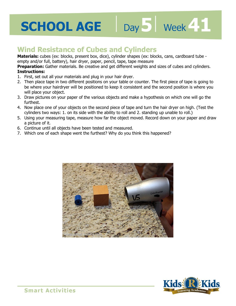## **SCHOOL AGE** Day D Week 11

### **Wind Resistance of Cubes and Cylinders**

**Materials:** cubes (ex: blocks, present box, dice), cylinder shapes (ex: blocks, cans, cardboard tube empty and/or full, battery), hair dryer, paper, pencil, tape, tape measure

asure<br>its and sizes of cubes and cylinde<br>**1 Preparation:** Gather materials. Be creative and get different weights and sizes of cubes and cylinders. **Instructions:** 

- 1. First, set out all your materials and plug in your hair dryer.
- 2. Then place tape in two different positions on your table or counter. The first piece of tape is going to be where your hairdryer will be positioned to keep it consistent and the second position is where you will place your object.
- 3. Draw pictures on your paper of the various objects and make a hypothesis on which one will go the furthest.
- 4. Now place one of your objects on the second piece of tape and turn the hair dryer on high. (Test the cylinders two ways: 1. on its side with the ability to roll and 2. standing up unable to roll.)
- 5. Using your measuring tape, measure how far the object moved. Record down on your paper and draw a picture of it.
- 6. Continue until all objects have been tested and measured.
- 7. Which one of each shape went the furthest? Why do you think this happened?